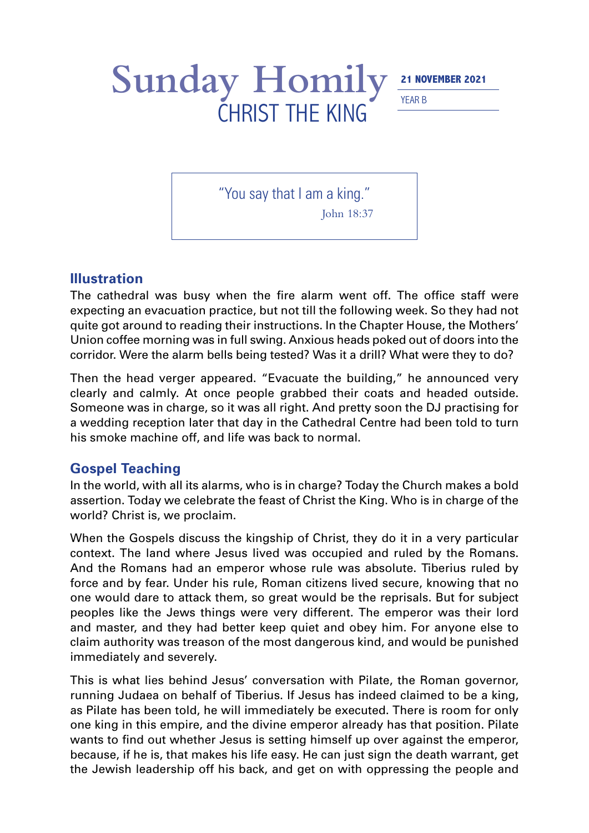## Sunday Homily<sup>21 NOVEMBER 2021</sup> YEAR B CHRIST THE KING

"You say that I am a king."

John 18:37

## **Illustration**

The cathedral was busy when the fire alarm went off. The office staff were expecting an evacuation practice, but not till the following week. So they had not quite got around to reading their instructions. In the Chapter House, the Mothers' Union coffee morning was in full swing. Anxious heads poked out of doors into the corridor. Were the alarm bells being tested? Was it a drill? What were they to do?

Then the head verger appeared. "Evacuate the building," he announced very clearly and calmly. At once people grabbed their coats and headed outside. Someone was in charge, so it was all right. And pretty soon the DJ practising for a wedding reception later that day in the Cathedral Centre had been told to turn his smoke machine off, and life was back to normal.

## **Gospel Teaching**

In the world, with all its alarms, who is in charge? Today the Church makes a bold assertion. Today we celebrate the feast of Christ the King. Who is in charge of the world? Christ is, we proclaim.

When the Gospels discuss the kingship of Christ, they do it in a very particular context. The land where Jesus lived was occupied and ruled by the Romans. And the Romans had an emperor whose rule was absolute. Tiberius ruled by force and by fear. Under his rule, Roman citizens lived secure, knowing that no one would dare to attack them, so great would be the reprisals. But for subject peoples like the Jews things were very different. The emperor was their lord and master, and they had better keep quiet and obey him. For anyone else to claim authority was treason of the most dangerous kind, and would be punished immediately and severely.

This is what lies behind Jesus' conversation with Pilate, the Roman governor, running Judaea on behalf of Tiberius. If Jesus has indeed claimed to be a king, as Pilate has been told, he will immediately be executed. There is room for only one king in this empire, and the divine emperor already has that position. Pilate wants to find out whether Jesus is setting himself up over against the emperor, because, if he is, that makes his life easy. He can just sign the death warrant, get the Jewish leadership off his back, and get on with oppressing the people and